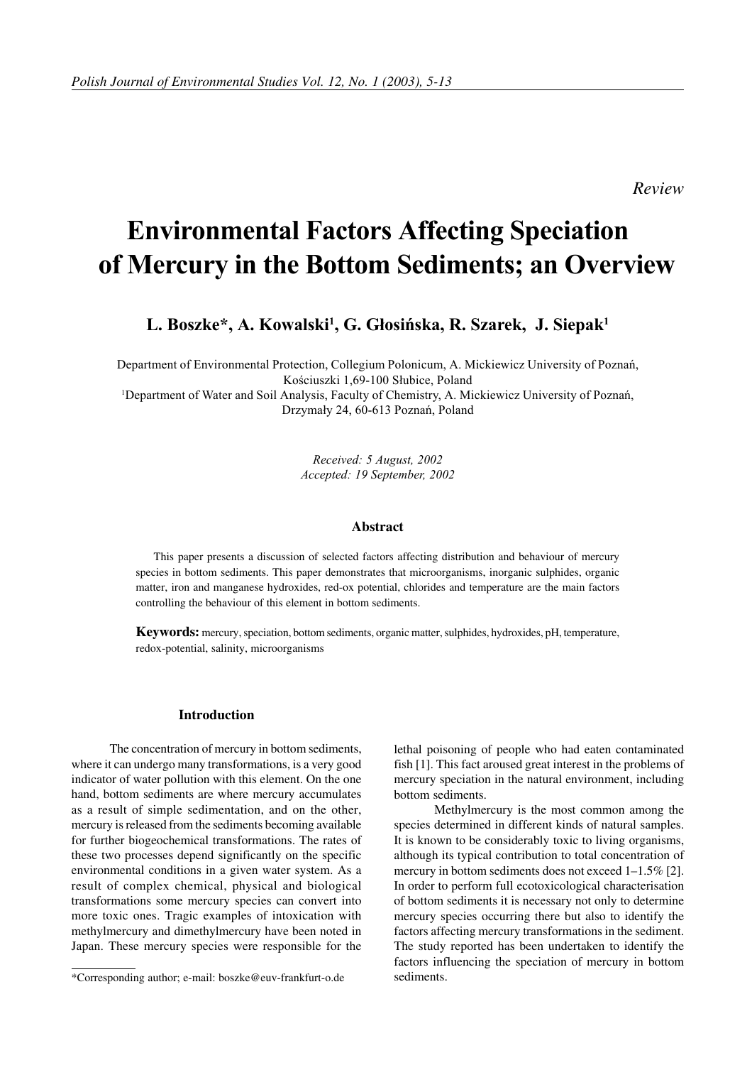*Review*

# **Environmental Factors Affecting Speciation** of Mercury in the Bottom Sediments; an Overview

L. Boszke\*, A. Kowalski<sup>1</sup>, G. Głosińska, R. Szarek, J. Siepak<sup>1</sup>

Department of Environmental Protection, Collegium Polonicum, A. Mickiewicz University of Poznań, Kościuszki 1,69-100 Słubice, Poland

<sup>1</sup>Department of Water and Soil Analysis, Faculty of Chemistry, A. Mickiewicz University of Poznań, Drzymały 24, 60-613 Poznań, Poland

> Received: 5 August, 2002 Accepted: 19 September, 2002

## **Abstract**

This paper presents a discussion of selected factors affecting distribution and behaviour of mercury species in bottom sediments. This paper demonstrates that microorganisms, inorganic sulphides, organic matter, iron and manganese hydroxides, red-ox potential, chlorides and temperature are the main factors controlling the behaviour of this element in bottom sediments.

**Keywords:** mercury, speciation, bottom sediments, organic matter, sulphides, hydroxides, pH, temperature, redox-potential, salinity, microorganisms

## **Introduction**

 The concentration of mercury in bottom sediments, where it can undergo many transformations, is a very good indicator of water pollution with this element. On the one hand, bottom sediments are where mercury accumulates as a result of simple sedimentation, and on the other, mercury is released from the sediments becoming available for further biogeochemical transformations. The rates of these two processes depend significantly on the specific environmental conditions in a given water system. As a result of complex chemical, physical and biological transformations some mercury species can convert into more toxic ones. Tragic examples of intoxication with methylmercury and dimethylmercury have been noted in Japan. These mercury species were responsible for the lethal poisoning of people who had eaten contaminated fish [1]. This fact aroused great interest in the problems of mercury speciation in the natural environment, including bottom sediments.

 Methylmercury is the most common among the species determined in different kinds of natural samples. It is known to be considerably toxic to living organisms, although its typical contribution to total concentration of mercury in bottom sediments does not exceed 1–1.5% [2]. In order to perform full ecotoxicological characterisation of bottom sediments it is necessary not only to determine mercury species occurring there but also to identify the factors affecting mercury transformations in the sediment. The study reported has been undertaken to identify the factors influencing the speciation of mercury in bottom sediments.

<sup>\*</sup>Corresponding author; e-mail: boszke@euv-frankfurt-o.de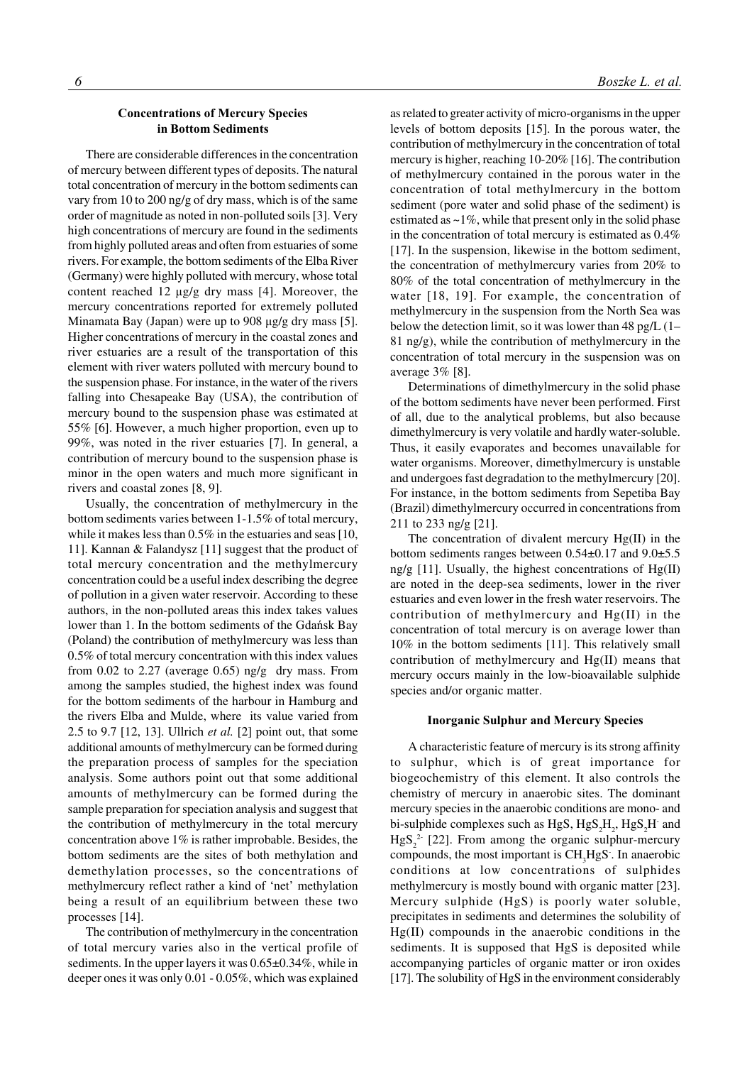## **Concentrations of Mercury Species** in Bottom Sediments

There are considerable differences in the concentration of mercury between different types of deposits. The natural total concentration of mercury in the bottom sediments can vary from 10 to 200 ng/g of dry mass, which is of the same order of magnitude as noted in non-polluted soils [3]. Very high concentrations of mercury are found in the sediments from highly polluted areas and often from estuaries of some rivers. For example, the bottom sediments of the Elba River (Germany) were highly polluted with mercury, whose total content reached  $12 \mu g/g$  dry mass [4]. Moreover, the mercury concentrations reported for extremely polluted Minamata Bay (Japan) were up to  $908 \mu g/g$  dry mass [5]. Higher concentrations of mercury in the coastal zones and river estuaries are a result of the transportation of this element with river waters polluted with mercury bound to the suspension phase. For instance, in the water of the rivers falling into Chesapeake Bay (USA), the contribution of mercury bound to the suspension phase was estimated at 55% [6]. However, a much higher proportion, even up to 99%, was noted in the river estuaries [7]. In general, a contribution of mercury bound to the suspension phase is minor in the open waters and much more significant in rivers and coastal zones [8, 9].

Usually, the concentration of methylmercury in the bottom sediments varies between 1-1.5% of total mercury, while it makes less than  $0.5\%$  in the estuaries and seas [10, 11]. Kannan & Falandysz [11] suggest that the product of total mercury concentration and the methylmercury concentration could be a useful index describing the degree of pollution in a given water reservoir. According to these authors, in the non-polluted areas this index takes values lower than 1. In the bottom sediments of the Gdańsk Bay (Poland) the contribution of methylmercury was less than 0.5% of total mercury concentration with this index values from  $0.02$  to  $2.27$  (average  $0.65$ ) ng/g dry mass. From among the samples studied, the highest index was found for the bottom sediments of the harbour in Hamburg and the rivers Elba and Mulde, where its value varied from 2.5 to 9.7 [12, 13]. Ullrich *et al.* [2] point out, that some additional amounts of methylmercury can be formed during the preparation process of samples for the speciation analysis. Some authors point out that some additional amounts of methylmercury can be formed during the sample preparation for speciation analysis and suggest that the contribution of methylmercury in the total mercury concentration above 1% is rather improbable. Besides, the bottom sediments are the sites of both methylation and demethylation processes, so the concentrations of methylmercury reflect rather a kind of 'net' methylation being a result of an equilibrium between these two processes [14].

The contribution of methylmercury in the concentration of total mercury varies also in the vertical profile of sediments. In the upper layers it was  $0.65\pm0.34\%$ , while in deeper ones it was only 0.01 - 0.05%, which was explained as related to greater activity of micro-organisms in the upper levels of bottom deposits [15]. In the porous water, the contribution of methylmercury in the concentration of total mercury is higher, reaching 10-20% [16]. The contribution of methylmercury contained in the porous water in the concentration of total methylmercury in the bottom sediment (pore water and solid phase of the sediment) is estimated as  $\sim$ 1%, while that present only in the solid phase in the concentration of total mercury is estimated as 0.4% [17]. In the suspension, likewise in the bottom sediment, the concentration of methylmercury varies from 20% to 80% of the total concentration of methylmercury in the water [18, 19]. For example, the concentration of methylmercury in the suspension from the North Sea was below the detection limit, so it was lower than 48 pg/L (1– 81 ng/g), while the contribution of methylmercury in the concentration of total mercury in the suspension was on average 3% [8].

Determinations of dimethylmercury in the solid phase of the bottom sediments have never been performed. First of all, due to the analytical problems, but also because dimethylmercury is very volatile and hardly water-soluble. Thus, it easily evaporates and becomes unavailable for water organisms. Moreover, dimethylmercury is unstable and undergoes fast degradation to the methylmercury [20]. For instance, in the bottom sediments from Sepetiba Bay (Brazil) dimethylmercury occurred in concentrations from 211 to 233 ng/g [21].

The concentration of divalent mercury Hg(II) in the bottom sediments ranges between 0.54±0.17 and 9.0±5.5 ng/g  $[11]$ . Usually, the highest concentrations of  $Hg(II)$ are noted in the deep-sea sediments, lower in the river estuaries and even lower in the fresh water reservoirs. The contribution of methylmercury and Hg(II) in the concentration of total mercury is on average lower than 10% in the bottom sediments [11]. This relatively small contribution of methylmercury and Hg(II) means that mercury occurs mainly in the low-bioavailable sulphide species and/or organic matter.

## **Inorganic Sulphur and Mercury Species**

A characteristic feature of mercury is its strong affinity to sulphur, which is of great importance for biogeochemistry of this element. It also controls the chemistry of mercury in anaerobic sites. The dominant mercury species in the anaerobic conditions are mono- and bi-sulphide complexes such as HgS,  $HgS_2H_2$ ,  $HgS_2H$  and  $HgS_2^2$  [22]. From among the organic sulphur-mercury compounds, the most important is  $CH<sub>3</sub>HgS$ . In anaerobic conditions at low concentrations of sulphides methylmercury is mostly bound with organic matter [23]. Mercury sulphide (HgS) is poorly water soluble, precipitates in sediments and determines the solubility of Hg(II) compounds in the anaerobic conditions in the sediments. It is supposed that HgS is deposited while accompanying particles of organic matter or iron oxides [17]. The solubility of HgS in the environment considerably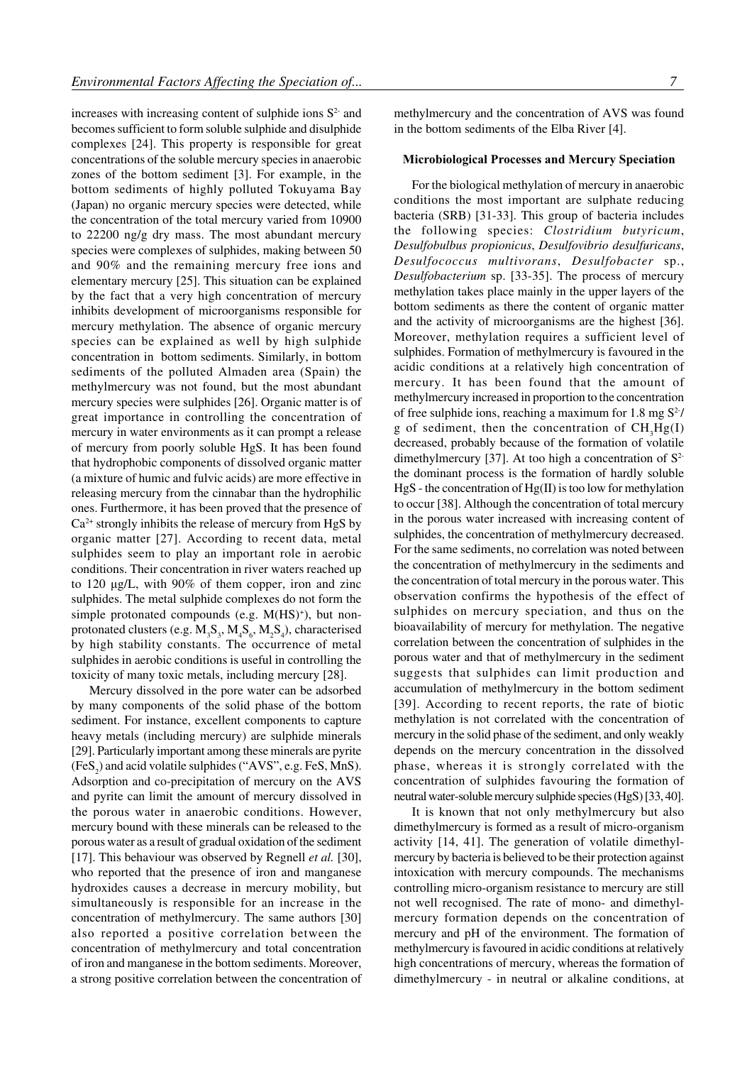increases with increasing content of sulphide ions  $S<sup>2</sup>$  and becomes sufficient to form soluble sulphide and disulphide complexes [24]. This property is responsible for great concentrations of the soluble mercury species in anaerobic zones of the bottom sediment [3]. For example, in the bottom sediments of highly polluted Tokuyama Bay (Japan) no organic mercury species were detected, while the concentration of the total mercury varied from 10900 to 22200 ng/g dry mass. The most abundant mercury species were complexes of sulphides, making between 50 and 90% and the remaining mercury free ions and elementary mercury [25]. This situation can be explained by the fact that a very high concentration of mercury inhibits development of microorganisms responsible for mercury methylation. The absence of organic mercury species can be explained as well by high sulphide concentration in bottom sediments. Similarly, in bottom sediments of the polluted Almaden area (Spain) the methylmercury was not found, but the most abundant mercury species were sulphides [26]. Organic matter is of great importance in controlling the concentration of mercury in water environments as it can prompt a release of mercury from poorly soluble HgS. It has been found that hydrophobic components of dissolved organic matter (a mixture of humic and fulvic acids) are more effective in releasing mercury from the cinnabar than the hydrophilic ones. Furthermore, it has been proved that the presence of  $Ca<sup>2+</sup>$  strongly inhibits the release of mercury from HgS by organic matter [27]. According to recent data, metal sulphides seem to play an important role in aerobic conditions. Their concentration in river waters reached up to 120  $\mu$ g/L, with 90% of them copper, iron and zinc sulphides. The metal sulphide complexes do not form the simple protonated compounds (e.g. M(HS)<sup>+</sup>), but nonprotonated clusters (e.g.  $M_3S_3$ ,  $M_4S_6$ ,  $M_2S_4$ ), characterised by high stability constants. The occurrence of metal sulphides in aerobic conditions is useful in controlling the toxicity of many toxic metals, including mercury [28].

Mercury dissolved in the pore water can be adsorbed by many components of the solid phase of the bottom sediment. For instance, excellent components to capture heavy metals (including mercury) are sulphide minerals [29]. Particularly important among these minerals are pyrite  $(FeS<sub>2</sub>)$  and acid volatile sulphides ("AVS", e.g. FeS, MnS). Adsorption and co-precipitation of mercury on the AVS and pyrite can limit the amount of mercury dissolved in the porous water in anaerobic conditions. However, mercury bound with these minerals can be released to the porous water as a result of gradual oxidation of the sediment [17]. This behaviour was observed by Regnell *et al.* [30], who reported that the presence of iron and manganese hydroxides causes a decrease in mercury mobility, but simultaneously is responsible for an increase in the concentration of methylmercury. The same authors [30] also reported a positive correlation between the concentration of methylmercury and total concentration of iron and manganese in the bottom sediments. Moreover, a strong positive correlation between the concentration of

methylmercury and the concentration of AVS was found in the bottom sediments of the Elba River [4].

## Microbiological Processes and Mercury Speciation

For the biological methylation of mercury in anaerobic conditions the most important are sulphate reducing bacteria (SRB) [31-33]. This group of bacteria includes the following species: *Clostridium butyricum*, *Desulfobulbus propionicus*, *Desulfovibrio desulfuricans*, *Desulfococcus multivorans*, *Desulfobacter* sp., *Desulfobacterium* sp. [33-35]. The process of mercury methylation takes place mainly in the upper layers of the bottom sediments as there the content of organic matter and the activity of microorganisms are the highest [36]. Moreover, methylation requires a sufficient level of sulphides. Formation of methylmercury is favoured in the acidic conditions at a relatively high concentration of mercury. It has been found that the amount of methylmercury increased in proportion to the concentration of free sulphide ions, reaching a maximum for 1.8 mg  $S^2$ / g of sediment, then the concentration of  $CH<sub>3</sub>Hg(I)$ decreased, probably because of the formation of volatile dimethylmercury [37]. At too high a concentration of  $S^2$ the dominant process is the formation of hardly soluble HgS - the concentration of Hg(II) is too low for methylation to occur [38]. Although the concentration of total mercury in the porous water increased with increasing content of sulphides, the concentration of methylmercury decreased. For the same sediments, no correlation was noted between the concentration of methylmercury in the sediments and the concentration of total mercury in the porous water. This observation confirms the hypothesis of the effect of sulphides on mercury speciation, and thus on the bioavailability of mercury for methylation. The negative correlation between the concentration of sulphides in the porous water and that of methylmercury in the sediment suggests that sulphides can limit production and accumulation of methylmercury in the bottom sediment [39]. According to recent reports, the rate of biotic methylation is not correlated with the concentration of mercury in the solid phase of the sediment, and only weakly depends on the mercury concentration in the dissolved phase, whereas it is strongly correlated with the concentration of sulphides favouring the formation of neutral water-soluble mercury sulphide species (HgS) [33, 40].

It is known that not only methylmercury but also dimethylmercury is formed as a result of micro-organism activity [14, 41]. The generation of volatile dimethylmercury by bacteria is believed to be their protection against intoxication with mercury compounds. The mechanisms controlling micro-organism resistance to mercury are still not well recognised. The rate of mono- and dimethylmercury formation depends on the concentration of mercury and pH of the environment. The formation of methylmercury is favoured in acidic conditions at relatively high concentrations of mercury, whereas the formation of dimethylmercury - in neutral or alkaline conditions, at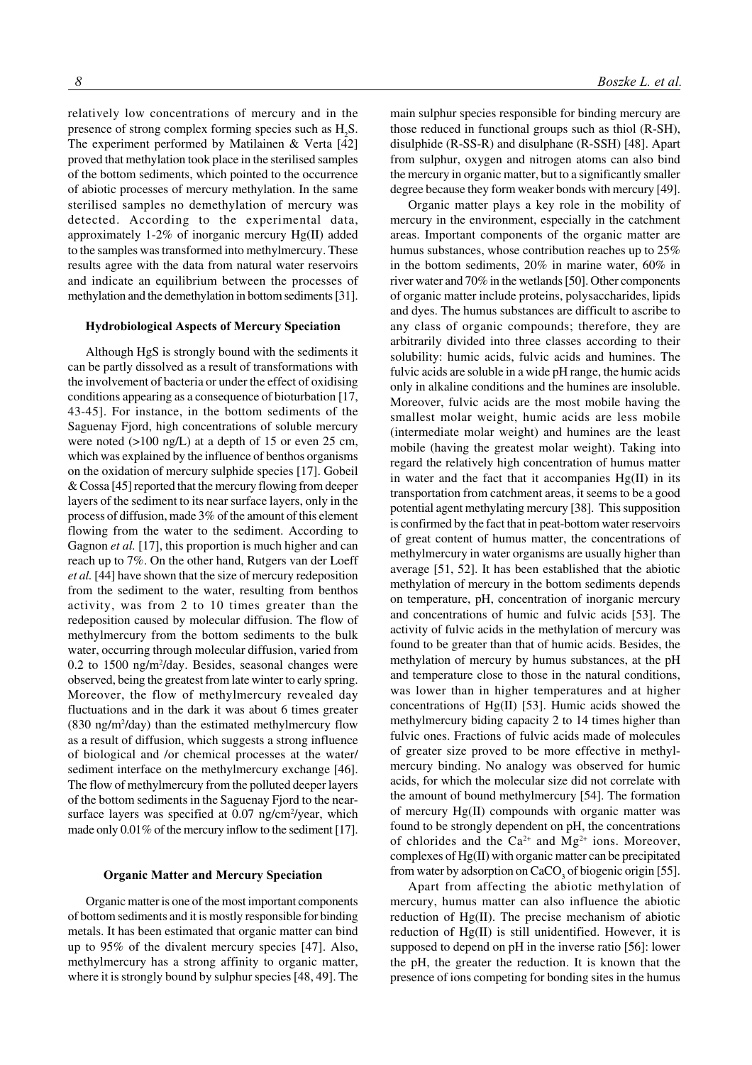relatively low concentrations of mercury and in the presence of strong complex forming species such as  $H_2S$ . The experiment performed by Matilainen & Verta [42] proved that methylation took place in the sterilised samples of the bottom sediments, which pointed to the occurrence of abiotic processes of mercury methylation. In the same sterilised samples no demethylation of mercury was detected. According to the experimental data, approximately 1-2% of inorganic mercury Hg(II) added to the samples was transformed into methylmercury. These results agree with the data from natural water reservoirs and indicate an equilibrium between the processes of methylation and the demethylation in bottom sediments [31].

## Hydrobiological Aspects of Mercury Speciation

Although HgS is strongly bound with the sediments it can be partly dissolved as a result of transformations with the involvement of bacteria or under the effect of oxidising conditions appearing as a consequence of bioturbation [17, 43-45]. For instance, in the bottom sediments of the Saguenay Fjord, high concentrations of soluble mercury were noted ( $>100$  ng/L) at a depth of 15 or even 25 cm, which was explained by the influence of benthos organisms on the oxidation of mercury sulphide species [17]. Gobeil & Cossa [45] reported that the mercury flowing from deeper layers of the sediment to its near surface layers, only in the process of diffusion, made 3% of the amount of this element flowing from the water to the sediment. According to Gagnon *et al.* [17], this proportion is much higher and can reach up to 7%. On the other hand, Rutgers van der Loeff *et al.* [44] have shown that the size of mercury redeposition from the sediment to the water, resulting from benthos activity, was from 2 to 10 times greater than the redeposition caused by molecular diffusion. The flow of methylmercury from the bottom sediments to the bulk water, occurring through molecular diffusion, varied from 0.2 to 1500 ng/m2 /day. Besides, seasonal changes were observed, being the greatest from late winter to early spring. Moreover, the flow of methylmercury revealed day fluctuations and in the dark it was about 6 times greater  $(830 \text{ ng/m}^2/\text{day})$  than the estimated methylmercury flow as a result of diffusion, which suggests a strong influence of biological and /or chemical processes at the water/ sediment interface on the methylmercury exchange [46]. The flow of methylmercury from the polluted deeper layers of the bottom sediments in the Saguenay Fjord to the nearsurface layers was specified at 0.07 ng/cm<sup>2</sup>/year, which made only 0.01% of the mercury inflow to the sediment [17].

## **Organic Matter and Mercury Speciation**

Organic matter is one of the most important components of bottom sediments and it is mostly responsible for binding metals. It has been estimated that organic matter can bind up to 95% of the divalent mercury species [47]. Also, methylmercury has a strong affinity to organic matter, where it is strongly bound by sulphur species [48, 49]. The main sulphur species responsible for binding mercury are those reduced in functional groups such as thiol (R-SH), disulphide (R-SS-R) and disulphane (R-SSH) [48]. Apart from sulphur, oxygen and nitrogen atoms can also bind the mercury in organic matter, but to a significantly smaller degree because they form weaker bonds with mercury [49].

Organic matter plays a key role in the mobility of mercury in the environment, especially in the catchment areas. Important components of the organic matter are humus substances, whose contribution reaches up to 25% in the bottom sediments, 20% in marine water, 60% in river water and 70% in the wetlands [50]. Other components of organic matter include proteins, polysaccharides, lipids and dyes. The humus substances are difficult to ascribe to any class of organic compounds; therefore, they are arbitrarily divided into three classes according to their solubility: humic acids, fulvic acids and humines. The fulvic acids are soluble in a wide pH range, the humic acids only in alkaline conditions and the humines are insoluble. Moreover, fulvic acids are the most mobile having the smallest molar weight, humic acids are less mobile (intermediate molar weight) and humines are the least mobile (having the greatest molar weight). Taking into regard the relatively high concentration of humus matter in water and the fact that it accompanies  $Hg(II)$  in its transportation from catchment areas, it seems to be a good potential agent methylating mercury [38]. This supposition is confirmed by the fact that in peat-bottom water reservoirs of great content of humus matter, the concentrations of methylmercury in water organisms are usually higher than average [51, 52]. It has been established that the abiotic methylation of mercury in the bottom sediments depends on temperature, pH, concentration of inorganic mercury and concentrations of humic and fulvic acids [53]. The activity of fulvic acids in the methylation of mercury was found to be greater than that of humic acids. Besides, the methylation of mercury by humus substances, at the pH and temperature close to those in the natural conditions, was lower than in higher temperatures and at higher concentrations of Hg(II) [53]. Humic acids showed the methylmercury biding capacity 2 to 14 times higher than fulvic ones. Fractions of fulvic acids made of molecules of greater size proved to be more effective in methylmercury binding. No analogy was observed for humic acids, for which the molecular size did not correlate with the amount of bound methylmercury [54]. The formation of mercury Hg(II) compounds with organic matter was found to be strongly dependent on pH, the concentrations of chlorides and the  $Ca^{2+}$  and  $Mg^{2+}$  ions. Moreover, complexes of Hg(II) with organic matter can be precipitated from water by adsorption on  $CaCO<sub>3</sub>$  of biogenic origin [55].

Apart from affecting the abiotic methylation of mercury, humus matter can also influence the abiotic reduction of Hg(II). The precise mechanism of abiotic reduction of Hg(II) is still unidentified. However, it is supposed to depend on pH in the inverse ratio [56]: lower the pH, the greater the reduction. It is known that the presence of ions competing for bonding sites in the humus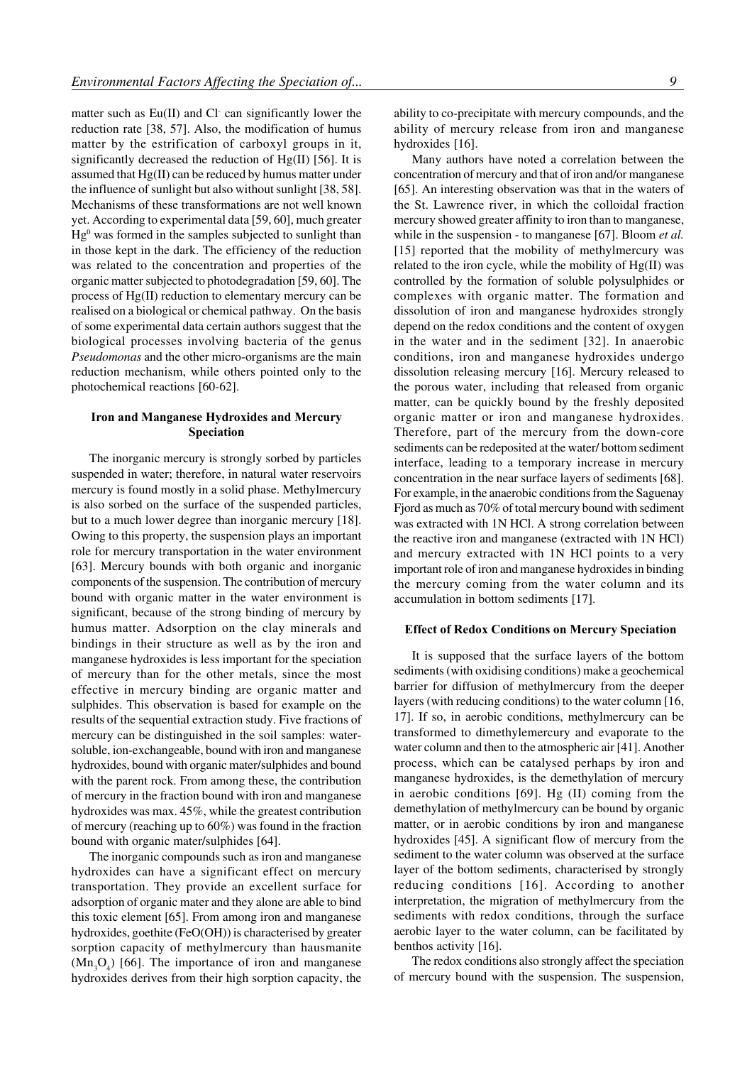matter such as Eu(II) and Cl can significantly lower the reduction rate [38, 57]. Also, the modification of humus matter by the estrification of carboxyl groups in it, significantly decreased the reduction of  $Hg(II)$  [56]. It is assumed that Hg(II) can be reduced by humus matter under the influence of sunlight but also without sunlight [38, 58]. Mechanisms of these transformations are not well known yet. According to experimental data [59, 60], much greater Hg<sup>0</sup> was formed in the samples subjected to sunlight than in those kept in the dark. The efficiency of the reduction was related to the concentration and properties of the organic matter subjected to photodegradation [59, 60]. The process of Hg(II) reduction to elementary mercury can be realised on a biological or chemical pathway. On the basis of some experimental data certain authors suggest that the biological processes involving bacteria of the genus *Pseudomonas* and the other micro-organisms are the main reduction mechanism, while others pointed only to the photochemical reactions [60-62].

## Iron and Manganese Hydroxides and Mercury Speciation

The inorganic mercury is strongly sorbed by particles suspended in water; therefore, in natural water reservoirs mercury is found mostly in a solid phase. Methylmercury is also sorbed on the surface of the suspended particles, but to a much lower degree than inorganic mercury [18]. Owing to this property, the suspension plays an important role for mercury transportation in the water environment [63]. Mercury bounds with both organic and inorganic components of the suspension. The contribution of mercury bound with organic matter in the water environment is significant, because of the strong binding of mercury by humus matter. Adsorption on the clay minerals and bindings in their structure as well as by the iron and manganese hydroxides is less important for the speciation of mercury than for the other metals, since the most effective in mercury binding are organic matter and sulphides. This observation is based for example on the results of the sequential extraction study. Five fractions of mercury can be distinguished in the soil samples: watersoluble, ion-exchangeable, bound with iron and manganese hydroxides, bound with organic mater/sulphides and bound with the parent rock. From among these, the contribution of mercury in the fraction bound with iron and manganese hydroxides was max. 45%, while the greatest contribution of mercury (reaching up to 60%) was found in the fraction bound with organic mater/sulphides [64].

The inorganic compounds such as iron and manganese hydroxides can have a significant effect on mercury transportation. They provide an excellent surface for adsorption of organic mater and they alone are able to bind this toxic element [65]. From among iron and manganese hydroxides, goethite (FeO(OH)) is characterised by greater sorption capacity of methylmercury than hausmanite  $(Mn<sub>3</sub>O<sub>4</sub>)$  [66]. The importance of iron and manganese hydroxides derives from their high sorption capacity, the ability to co-precipitate with mercury compounds, and the ability of mercury release from iron and manganese hydroxides [16].

Many authors have noted a correlation between the concentration of mercury and that of iron and/or manganese [65]. An interesting observation was that in the waters of the St. Lawrence river, in which the colloidal fraction mercury showed greater affinity to iron than to manganese, while in the suspension - to manganese [67]. Bloom *et al.* [15] reported that the mobility of methylmercury was related to the iron cycle, while the mobility of Hg(II) was controlled by the formation of soluble polysulphides or complexes with organic matter. The formation and dissolution of iron and manganese hydroxides strongly depend on the redox conditions and the content of oxygen in the water and in the sediment [32]. In anaerobic conditions, iron and manganese hydroxides undergo dissolution releasing mercury [16]. Mercury released to the porous water, including that released from organic matter, can be quickly bound by the freshly deposited organic matter or iron and manganese hydroxides. Therefore, part of the mercury from the down-core sediments can be redeposited at the water/ bottom sediment interface, leading to a temporary increase in mercury concentration in the near surface layers of sediments [68]. For example, in the anaerobic conditions from the Saguenay Fjord as much as 70% of total mercury bound with sediment was extracted with 1N HCl. A strong correlation between the reactive iron and manganese (extracted with 1N HCl) and mercury extracted with 1N HCl points to a very important role of iron and manganese hydroxides in binding the mercury coming from the water column and its accumulation in bottom sediments [17].

## Effect of Redox Conditions on Mercury Speciation

It is supposed that the surface layers of the bottom sediments (with oxidising conditions) make a geochemical barrier for diffusion of methylmercury from the deeper layers (with reducing conditions) to the water column [16, 17]. If so, in aerobic conditions, methylmercury can be transformed to dimethylemercury and evaporate to the water column and then to the atmospheric air [41]. Another process, which can be catalysed perhaps by iron and manganese hydroxides, is the demethylation of mercury in aerobic conditions [69]. Hg (II) coming from the demethylation of methylmercury can be bound by organic matter, or in aerobic conditions by iron and manganese hydroxides [45]. A significant flow of mercury from the sediment to the water column was observed at the surface layer of the bottom sediments, characterised by strongly reducing conditions [16]. According to another interpretation, the migration of methylmercury from the sediments with redox conditions, through the surface aerobic layer to the water column, can be facilitated by benthos activity [16].

The redox conditions also strongly affect the speciation of mercury bound with the suspension. The suspension,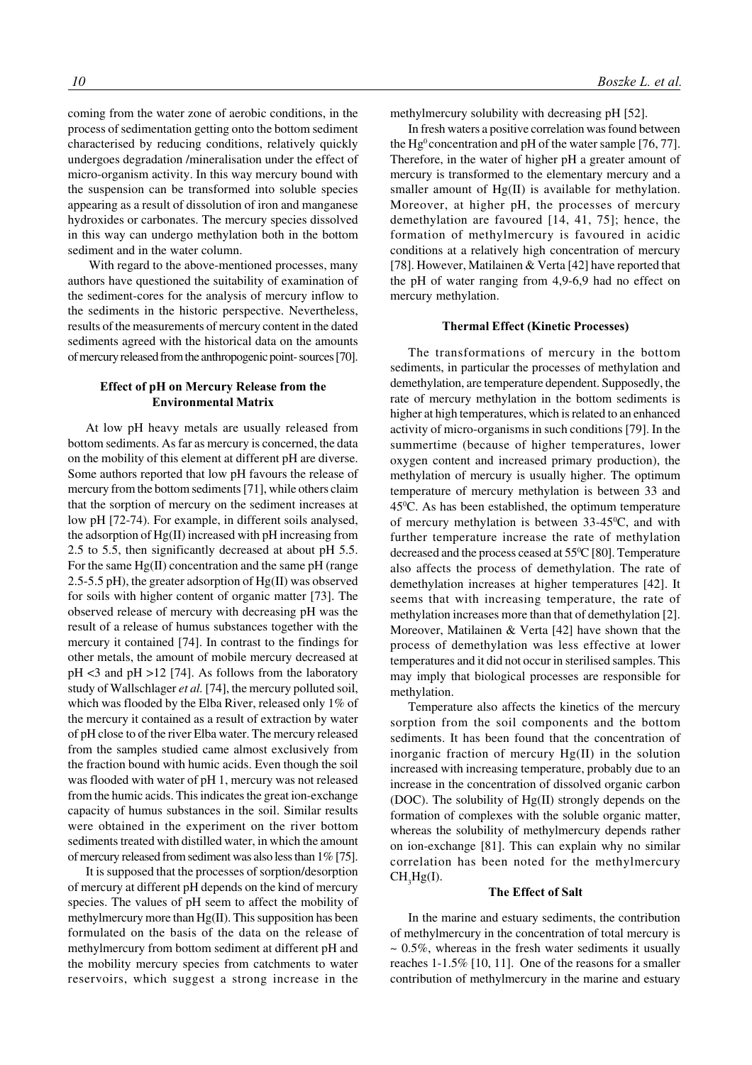coming from the water zone of aerobic conditions, in the process of sedimentation getting onto the bottom sediment characterised by reducing conditions, relatively quickly undergoes degradation /mineralisation under the effect of micro-organism activity. In this way mercury bound with the suspension can be transformed into soluble species appearing as a result of dissolution of iron and manganese hydroxides or carbonates. The mercury species dissolved in this way can undergo methylation both in the bottom sediment and in the water column.

 With regard to the above-mentioned processes, many authors have questioned the suitability of examination of the sediment-cores for the analysis of mercury inflow to the sediments in the historic perspective. Nevertheless, results of the measurements of mercury content in the dated sediments agreed with the historical data on the amounts of mercury released from the anthropogenic point- sources [70].

## Effect of pH on Mercury Release from the **Environmental Matrix**

At low pH heavy metals are usually released from bottom sediments. As far as mercury is concerned, the data on the mobility of this element at different pH are diverse. Some authors reported that low pH favours the release of mercury from the bottom sediments [71], while others claim that the sorption of mercury on the sediment increases at low pH [72-74). For example, in different soils analysed, the adsorption of Hg(II) increased with pH increasing from 2.5 to 5.5, then significantly decreased at about pH 5.5. For the same Hg(II) concentration and the same pH (range 2.5-5.5 pH), the greater adsorption of  $Hg(II)$  was observed for soils with higher content of organic matter [73]. The observed release of mercury with decreasing pH was the result of a release of humus substances together with the mercury it contained [74]. In contrast to the findings for other metals, the amount of mobile mercury decreased at pH <3 and pH >12 [74]. As follows from the laboratory study of Wallschlager *et al.* [74], the mercury polluted soil, which was flooded by the Elba River, released only 1% of the mercury it contained as a result of extraction by water of pH close to of the river Elba water. The mercury released from the samples studied came almost exclusively from the fraction bound with humic acids. Even though the soil was flooded with water of pH 1, mercury was not released from the humic acids. This indicates the great ion-exchange capacity of humus substances in the soil. Similar results were obtained in the experiment on the river bottom sediments treated with distilled water, in which the amount of mercury released from sediment was also less than 1% [75].

It is supposed that the processes of sorption/desorption of mercury at different pH depends on the kind of mercury species. The values of pH seem to affect the mobility of methylmercury more than Hg(II). This supposition has been formulated on the basis of the data on the release of methylmercury from bottom sediment at different pH and the mobility mercury species from catchments to water reservoirs, which suggest a strong increase in the methylmercury solubility with decreasing pH [52].

In fresh waters a positive correlation was found between the  $Hg^0$  concentration and pH of the water sample [76, 77]. Therefore, in the water of higher pH a greater amount of mercury is transformed to the elementary mercury and a smaller amount of Hg(II) is available for methylation. Moreover, at higher pH, the processes of mercury demethylation are favoured [14, 41, 75]; hence, the formation of methylmercury is favoured in acidic conditions at a relatively high concentration of mercury [78]. However, Matilainen & Verta [42] have reported that the pH of water ranging from 4,9-6,9 had no effect on mercury methylation.

## Thermal Effect (Kinetic Processes)

The transformations of mercury in the bottom sediments, in particular the processes of methylation and demethylation, are temperature dependent. Supposedly, the rate of mercury methylation in the bottom sediments is higher at high temperatures, which is related to an enhanced activity of micro-organisms in such conditions [79]. In the summertime (because of higher temperatures, lower oxygen content and increased primary production), the methylation of mercury is usually higher. The optimum temperature of mercury methylation is between 33 and 450 C. As has been established, the optimum temperature of mercury methylation is between  $33-45^{\circ}$ C, and with further temperature increase the rate of methylation decreased and the process ceased at 55<sup>o</sup>C [80]. Temperature also affects the process of demethylation. The rate of demethylation increases at higher temperatures [42]. It seems that with increasing temperature, the rate of methylation increases more than that of demethylation [2]. Moreover, Matilainen & Verta [42] have shown that the process of demethylation was less effective at lower temperatures and it did not occur in sterilised samples. This may imply that biological processes are responsible for methylation.

Temperature also affects the kinetics of the mercury sorption from the soil components and the bottom sediments. It has been found that the concentration of inorganic fraction of mercury Hg(II) in the solution increased with increasing temperature, probably due to an increase in the concentration of dissolved organic carbon (DOC). The solubility of Hg(II) strongly depends on the formation of complexes with the soluble organic matter, whereas the solubility of methylmercury depends rather on ion-exchange [81]. This can explain why no similar correlation has been noted for the methylmercury  $CH<sub>3</sub>Hg(I).$ 

## **The Effect of Salt**

In the marine and estuary sediments, the contribution of methylmercury in the concentration of total mercury is  $\sim 0.5\%$ , whereas in the fresh water sediments it usually reaches 1-1.5% [10, 11]. One of the reasons for a smaller contribution of methylmercury in the marine and estuary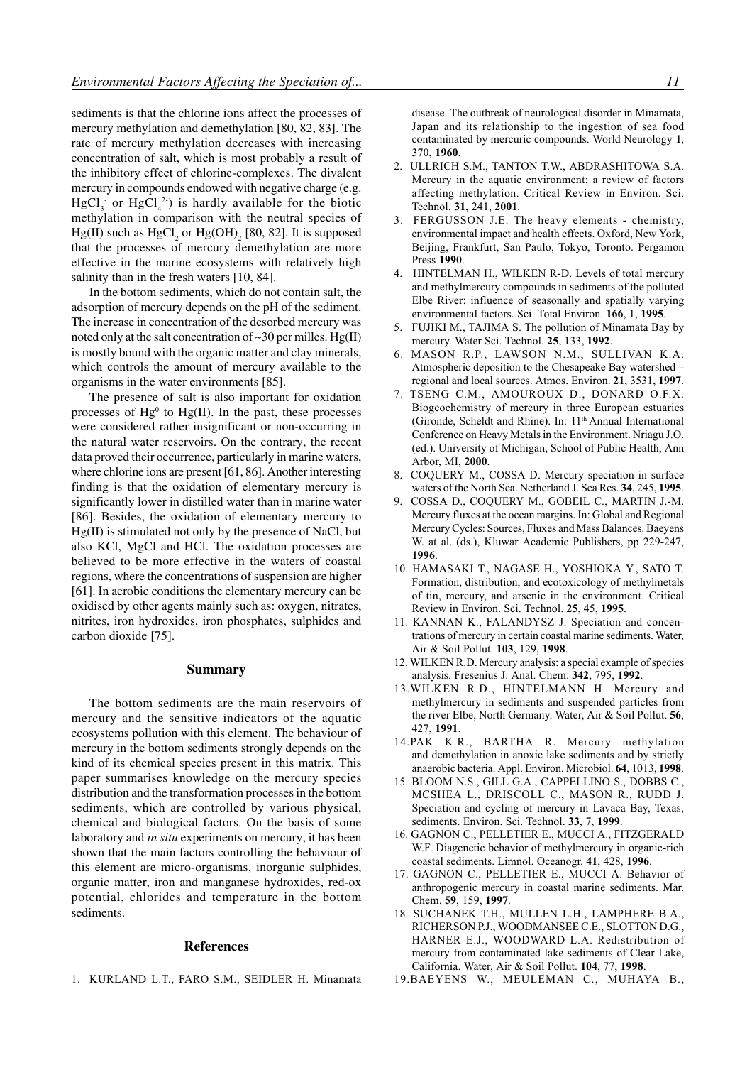sediments is that the chlorine ions affect the processes of mercury methylation and demethylation [80, 82, 83]. The rate of mercury methylation decreases with increasing concentration of salt, which is most probably a result of the inhibitory effect of chlorine-complexes. The divalent mercury in compounds endowed with negative charge (e.g.  $HgCl<sub>3</sub>$  or  $HgCl<sub>4</sub><sup>2</sup>$ ) is hardly available for the biotic methylation in comparison with the neutral species of  $Hg(II)$  such as  $HgCl<sub>2</sub>$  or  $Hg(OH)<sub>2</sub>$  [80, 82]. It is supposed that the processes of mercury demethylation are more effective in the marine ecosystems with relatively high salinity than in the fresh waters [10, 84].

In the bottom sediments, which do not contain salt, the adsorption of mercury depends on the pH of the sediment. The increase in concentration of the desorbed mercury was noted only at the salt concentration of  $\sim$ 30 per milles. Hg(II) is mostly bound with the organic matter and clay minerals, which controls the amount of mercury available to the organisms in the water environments [85].

The presence of salt is also important for oxidation processes of  $Hg^0$  to  $Hg$ (II). In the past, these processes were considered rather insignificant or non-occurring in the natural water reservoirs. On the contrary, the recent data proved their occurrence, particularly in marine waters, where chlorine ions are present [61, 86]. Another interesting finding is that the oxidation of elementary mercury is significantly lower in distilled water than in marine water [86]. Besides, the oxidation of elementary mercury to Hg(II) is stimulated not only by the presence of NaCl, but also KCl, MgCl and HCl. The oxidation processes are believed to be more effective in the waters of coastal regions, where the concentrations of suspension are higher [61]. In aerobic conditions the elementary mercury can be oxidised by other agents mainly such as: oxygen, nitrates, nitrites, iron hydroxides, iron phosphates, sulphides and carbon dioxide [75].

## **Summary**

The bottom sediments are the main reservoirs of mercury and the sensitive indicators of the aquatic ecosystems pollution with this element. The behaviour of mercury in the bottom sediments strongly depends on the kind of its chemical species present in this matrix. This paper summarises knowledge on the mercury species distribution and the transformation processes in the bottom sediments, which are controlled by various physical, chemical and biological factors. On the basis of some laboratory and *in situ* experiments on mercury, it has been shown that the main factors controlling the behaviour of this element are micro-organisms, inorganic sulphides, organic matter, iron and manganese hydroxides, red-ox potential, chlorides and temperature in the bottom sediments.

## **References**

1. KURLAND L.T., FARO S.M., SEIDLER H. Minamata

disease. The outbreak of neurological disorder in Minamata, Japan and its relationship to the ingestion of sea food contaminated by mercuric compounds. World Neurology 1, 370, 1960.

- 2. ULLRICH S.M., TANTON T.W., ABDRASHITOWA S.A. Mercury in the aquatic environment: a review of factors affecting methylation. Critical Review in Environ. Sci. Technol. 31, 241, 2001.
- 3. FERGUSSON J.E. The heavy elements chemistry, environmental impact and health effects. Oxford, New York, Beijing, Frankfurt, San Paulo, Tokyo, Toronto. Pergamon Press 1990.
- 4. HINTELMAN H., WILKEN R-D. Levels of total mercury and methylmercury compounds in sediments of the polluted Elbe River: influence of seasonally and spatially varying environmental factors. Sci. Total Environ. 166, 1, 1995.
- 5. FUJIKI M., TAJIMA S. The pollution of Minamata Bay by mercury. Water Sci. Technol. 25, 133, 1992.
- 6. MASON R.P., LAWSON N.M., SULLIVAN K.A. Atmospheric deposition to the Chesapeake Bay watershed regional and local sources. Atmos. Environ. 21, 3531, 1997.
- 7. TSENG C.M., AMOUROUX D., DONARD O.F.X. Biogeochemistry of mercury in three European estuaries (Gironde, Scheldt and Rhine). In: 11<sup>th</sup> Annual International Conference on Heavy Metals in the Environment. Nriagu J.O. (ed.). University of Michigan, School of Public Health, Ann Arbor, MI, 2000.
- 8. COQUERY M., COSSA D. Mercury speciation in surface waters of the North Sea. Netherland J. Sea Res. 34, 245, 1995.
- 9. COSSA D., COQUERY M., GOBEIL C., MARTIN J.-M. Mercury fluxes at the ocean margins. In: Global and Regional Mercury Cycles: Sources, Fluxes and Mass Balances. Baeyens W. at al. (ds.), Kluwar Academic Publishers, pp 229-247, 1996.
- 10. HAMASAKI T., NAGASE H., YOSHIOKA Y., SATO T. Formation, distribution, and ecotoxicology of methylmetals of tin, mercury, and arsenic in the environment. Critical Review in Environ. Sci. Technol. 25, 45, 1995.
- 11. KANNAN K., FALANDYSZ J. Speciation and concentrations of mercury in certain coastal marine sediments. Water, Air & Soil Pollut. 103, 129, 1998.
- 12. WILKEN R.D. Mercury analysis: a special example of species analysis. Fresenius J. Anal. Chem. 342, 795, 1992.
- 13. WILKEN R.D., HINTELMANN H. Mercury and methylmercury in sediments and suspended particles from the river Elbe, North Germany. Water, Air & Soil Pollut. 56, 427.1991.
- 14. PAK K.R., BARTHA R. Mercury methylation and demethylation in anoxic lake sediments and by strictly anaerobic bacteria. Appl. Environ. Microbiol. 64, 1013, 1998.
- 15. BLOOM N.S., GILL G.A., CAPPELLINO S., DOBBS C., MCSHEA L., DRISCOLL C., MASON R., RUDD J. Speciation and cycling of mercury in Lavaca Bay, Texas, sediments. Environ. Sci. Technol. 33, 7, 1999.
- 16. GAGNON C., PELLETIER E., MUCCI A., FITZGERALD W.F. Diagenetic behavior of methylmercury in organic-rich coastal sediments. Limnol. Oceanogr. 41, 428, 1996.
- 17. GAGNON C., PELLETIER E., MUCCI A. Behavior of anthropogenic mercury in coastal marine sediments. Mar. Chem. **59**, 159, **1997**.
- 18. SUCHANEK T.H., MULLEN L.H., LAMPHERE B.A., RICHERSON P.J., WOODMANSEE C.E., SLOTTON D.G., HARNER E.J., WOODWARD L.A. Redistribution of mercury from contaminated lake sediments of Clear Lake, California. Water, Air & Soil Pollut. 104, 77, 1998.
- 19. BAEYENS W., MEULEMAN C., MUHAYA B.,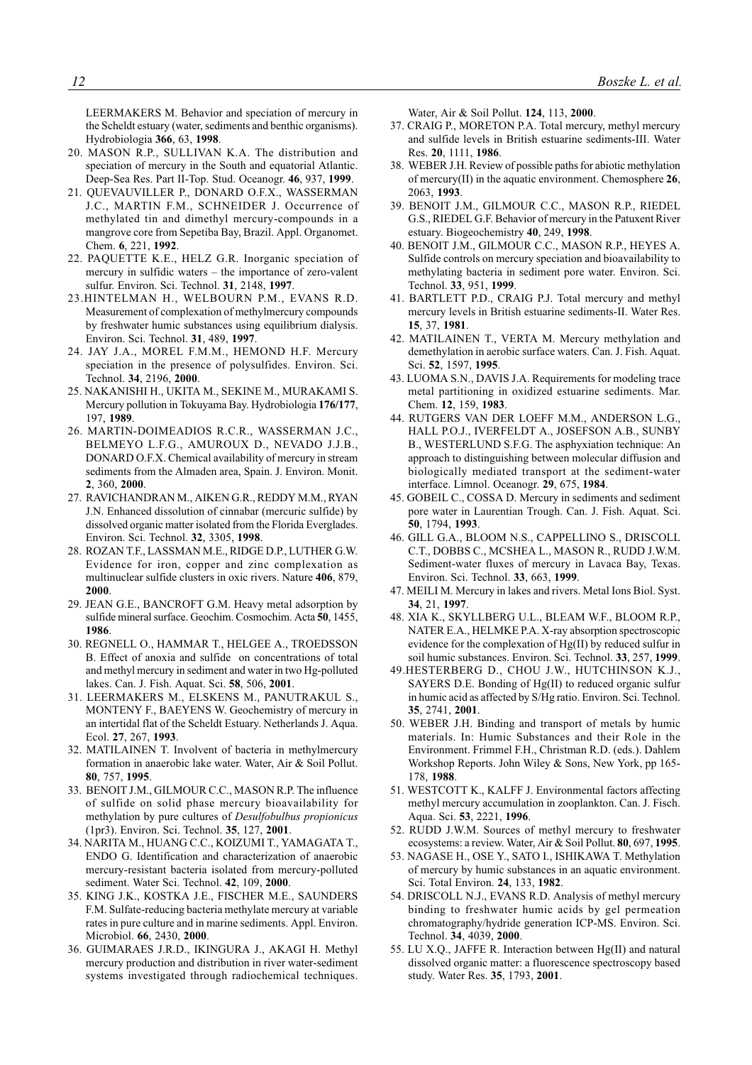LEERMAKERS M. Behavior and speciation of mercury in the Scheldt estuary (water, sediments and benthic organisms). Hydrobiologia 366, 63, 1998.

- 20. MASON R.P., SULLIVAN K.A. The distribution and speciation of mercury in the South and equatorial Atlantic. Deep-Sea Res. Part II-Top. Stud. Oceanogr. 46, 937, 1999.
- 21. QUEVAUVILLER P., DONARD O.F.X., WASSERMAN J.C., MARTIN F.M., SCHNEIDER J. Occurrence of methylated tin and dimethyl mercury-compounds in a mangrove core from Sepetiba Bay, Brazil. Appl. Organomet. Chem. 6. 221. 1992.
- 22. PAQUETTE K.E., HELZ G.R. Inorganic speciation of mercury in sulfidic waters – the importance of zero-valent sulfur. Environ. Sci. Technol. 31, 2148, 1997.
- 23. HINTELMAN H., WELBOURN P.M., EVANS R.D. Measurement of complexation of methylmercury compounds by freshwater humic substances using equilibrium dialysis. Environ. Sci. Technol. 31, 489, 1997.
- 24. JAY J.A., MOREL F.M.M., HEMOND H.F. Mercury speciation in the presence of polysulfides. Environ. Sci. Technol. 34, 2196, 2000.
- 25. NAKANISHI H., UKITA M., SEKINE M., MURAKAMI S. Mercury pollution in Tokuyama Bay. Hydrobiologia 176/177, 197.1989
- 26. MARTIN-DOIMEADIOS R.C.R., WASSERMAN J.C., BELMEYO L.F.G., AMUROUX D., NEVADO J.J.B., DONARD O.F.X. Chemical availability of mercury in stream sediments from the Almaden area, Spain. J. Environ. Monit. 2, 360, 2000.
- 27. RAVICHANDRAN M., AIKEN G.R., REDDY M.M., RYAN J.N. Enhanced dissolution of cinnabar (mercuric sulfide) by dissolved organic matter isolated from the Florida Everglades. Environ. Sci. Technol. 32, 3305, 1998.
- 28. ROZAN T.F., LASSMAN M.E., RIDGE D.P., LUTHER G.W. Evidence for iron, copper and zinc complexation as multinuclear sulfide clusters in oxic rivers. Nature 406, 879, 2000
- 29. JEAN G.E., BANCROFT G.M. Heavy metal adsorption by sulfide mineral surface. Geochim. Cosmochim. Acta 50, 1455, 1986
- 30. REGNELL O., HAMMAR T., HELGEE A., TROEDSSON B. Effect of anoxia and sulfide on concentrations of total and methyl mercury in sediment and water in two Hg-polluted lakes. Can. J. Fish. Aquat. Sci. 58, 506, 2001.
- 31. LEERMAKERS M., ELSKENS M., PANUTRAKUL S., MONTENY F., BAEYENS W. Geochemistry of mercury in an intertidal flat of the Scheldt Estuary. Netherlands J. Aqua. Ecol. 27, 267, 1993.
- 32. MATILAINEN T. Involvent of bacteria in methylmercury formation in anaerobic lake water. Water, Air & Soil Pollut. 80, 757, 1995.
- 33. BENOIT J.M., GILMOUR C.C., MASON R.P. The influence of sulfide on solid phase mercury bioavailability for methylation by pure cultures of Desulfobulbus propionicus (1pr3). Environ. Sci. Technol. 35, 127, 2001.
- 34. NARITA M., HUANG C.C., KOIZUMI T., YAMAGATA T., ENDO G. Identification and characterization of anaerobic mercury-resistant bacteria isolated from mercury-polluted sediment. Water Sci. Technol. 42, 109, 2000.
- 35. KING J.K., KOSTKA J.E., FISCHER M.E., SAUNDERS F.M. Sulfate-reducing bacteria methylate mercury at variable rates in pure culture and in marine sediments. Appl. Environ. Microbiol. 66, 2430, 2000.
- 36. GUIMARAES J.R.D., IKINGURA J., AKAGI H. Methyl mercury production and distribution in river water-sediment systems investigated through radiochemical techniques.

Water, Air & Soil Pollut. 124, 113, 2000.

- 37. CRAIG P., MORETON P.A. Total mercury, methyl mercury and sulfide levels in British estuarine sediments-III. Water Res. 20, 1111, 1986.
- 38. WEBER J.H. Review of possible paths for abiotic methylation of mercury(II) in the aquatic environment. Chemosphere  $26$ , 2063 1993
- 39. BENOIT J.M., GILMOUR C.C., MASON R.P., RIEDEL G.S., RIEDEL G.F. Behavior of mercury in the Patuxent River estuary. Biogeochemistry 40, 249, 1998.
- 40. BENOIT J.M., GILMOUR C.C., MASON R.P., HEYES A. Sulfide controls on mercury speciation and bioavailability to methylating bacteria in sediment pore water. Environ. Sci. Technol. 33, 951, 1999.
- 41. BARTLETT P.D., CRAIG P.J. Total mercury and methyl mercury levels in British estuarine sediments-II. Water Res. 15, 37, 1981.
- 42. MATILAINEN T., VERTA M. Mercury methylation and demethylation in aerobic surface waters. Can. J. Fish. Aquat. Sci. 52, 1597, 1995.
- 43. LUOMA S.N., DAVIS J.A. Requirements for modeling trace metal partitioning in oxidized estuarine sediments. Mar. Chem. 12, 159, 1983.
- 44. RUTGERS VAN DER LOEFF M.M., ANDERSON L.G., HALL P.O.J., IVERFELDT A., JOSEFSON A.B., SUNBY B., WESTERLUND S.F.G. The asphyxiation technique: An approach to distinguishing between molecular diffusion and biologically mediated transport at the sediment-water interface. Limnol. Oceanogr. 29, 675, 1984.
- 45. GOBEIL C., COSSA D. Mercury in sediments and sediment pore water in Laurentian Trough. Can. J. Fish. Aquat. Sci. 50, 1794, 1993.
- 46. GILL G.A., BLOOM N.S., CAPPELLINO S., DRISCOLL C.T., DOBBS C., MCSHEA L., MASON R., RUDD J.W.M. Sediment-water fluxes of mercury in Lavaca Bay, Texas. Environ. Sci. Technol. 33, 663, 1999.
- 47. MEILI M. Mercury in lakes and rivers. Metal Ions Biol. Syst. 34, 21, 1997.
- 48. XIA K., SKYLLBERG U.L., BLEAM W.F., BLOOM R.P., NATER E.A., HELMKE P.A. X-ray absorption spectroscopic evidence for the complexation of Hg(II) by reduced sulfur in soil humic substances. Environ. Sci. Technol. 33, 257, 1999.
- 49.HESTERBERG D., CHOU J.W., HUTCHINSON K.J., SAYERS D.E. Bonding of Hg(II) to reduced organic sulfur in humic acid as affected by S/Hg ratio. Environ. Sci. Technol. 35, 2741, 2001.
- 50. WEBER J.H. Binding and transport of metals by humic materials. In: Humic Substances and their Role in the Environment. Frimmel F.H., Christman R.D. (eds.). Dahlem Workshop Reports. John Wiley & Sons, New York, pp 165-178, 1988.
- 51. WESTCOTT K., KALFF J. Environmental factors affecting methyl mercury accumulation in zooplankton. Can. J. Fisch. Aqua. Sci. 53, 2221, 1996.
- 52. RUDD J.W.M. Sources of methyl mercury to freshwater ecosystems: a review. Water, Air & Soil Pollut. 80, 697, 1995.
- 53. NAGASE H., OSE Y., SATO I., ISHIKAWA T. Methylation of mercury by humic substances in an aquatic environment. Sci. Total Environ. 24, 133, 1982.
- 54. DRISCOLL N.J., EVANS R.D. Analysis of methyl mercury binding to freshwater humic acids by gel permeation chromatography/hydride generation ICP-MS. Environ. Sci. Technol. 34, 4039, 2000.
- 55. LU X.Q., JAFFE R. Interaction between Hg(II) and natural dissolved organic matter: a fluorescence spectroscopy based study. Water Res. 35, 1793, 2001.